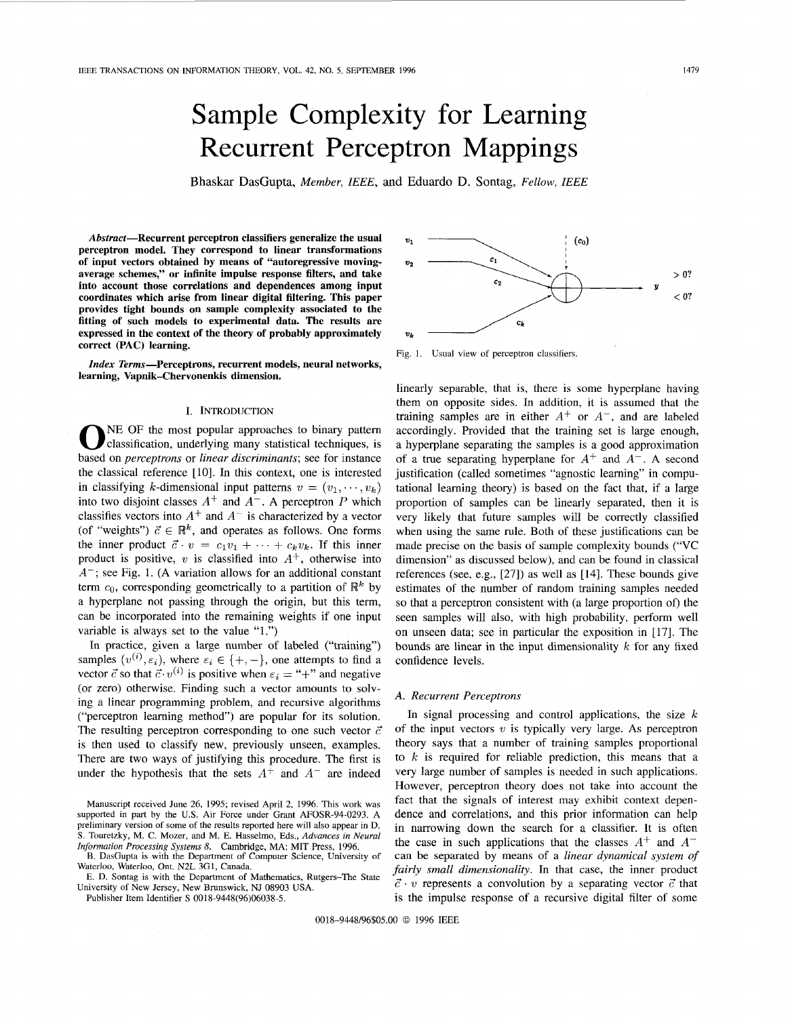# Sample Complexity for Learning Recurrent Perceptron Mappings

Bhaskar DasGupta, *Member, IEEE*, and Eduardo D. Sontag, *Fellow, IEEE* 

**Abstract-Recurrent perceptron classifiers generalize the usual perceptron model. They correspond to linear transformations of input vectors obtained by means of "autoregressive movingaverage schemes," or infinite impulse response filters, and take into account those correlations and dependences among input coordinates which arise from linear digital filtering. This paper provides tight bounds on sample complexity associated to the fitting of such models to experimental data. The results are expressed in the context of the theory of probably approximately correct (PAC) learning.** 

*Index* **Terms-Perceptrons, recurrent models, neural networks, learning, Vapnik-Chervonenkis dimension.** 

## I. INTRODUCTION

NE OF the most popular approaches to binary pattern **0** classification, underlying many statistical techniques, is based on *perceptrons* or *linear discriminants;* see for instance the classical reference [10]. In this context, one is interested in classifying k-dimensional input patterns  $v = (v_1, \dots, v_k)$ into two disjoint classes  $A^+$  and  $A^-$ . A perceptron P which classifies vectors into  $A^+$  and  $A^-$  is characterized by a vector (of "weights")  $\vec{c} \in \mathbb{R}^k$ , and operates as follows. One forms the inner product  $\vec{c} \cdot v = c_1v_1 + \cdots + c_kv_k$ . If this inner product is positive,  $v$  is classified into  $A^+$ , otherwise into *A-;* see Fig. 1. **(A** variation allows for an additional constant term  $c_0$ , corresponding geometrically to a partition of  $\mathbb{R}^k$  by a hyperplane not passing through the origin, but this term, can be incorporated into the remaining weights if one input variable is always set to the value "1.")

In practice, given a large number of labeled ("training") samples  $(v^{(i)}, \varepsilon_i)$ , where  $\varepsilon_i \in \{+, -\}$ , one attempts to find a vector  $\vec{c}$  so that  $\vec{c} \cdot v^{(i)}$  is positive when  $\varepsilon_i =$  "+" and negative (or zero) otherwise. Finding such a vector amounts lo solving **a** linear programming problem, and recursive algorithms ("perceptron learning method") are popular for its solution. The resulting perceptron corresponding to one such vector  $\vec{c}$ is then used to classify new, previously unseen, examples. There are two ways of justifying this procedure. The first is under the hypothesis that the sets  $A^+$  and  $A^-$  are indeed

Manuscript received June 26, 1995; revised April 2, 1996. This work was supported in part by the **U.S.** Air Force under Grant AFOSR-94-0293. A preliminary version of some of the results reported here will also appear in D. **S.** Touretzky, M. C. Mozer, and M. E. Hasselmo, Eds., *Advances in Neural Information Processing Systems 8.* Cambridge, MA: MIT Press, 1096.

**E.** DasGupta is with the Department of Computer Science, University of Waterloo, Waterloo, Ont. N2L **3G1,** Canada.



Publisher Item Identifier **S** 0018-9448(96)06038-5.



Fig. **1.** Usual view of perceptron classifiers.

linearly separable, that **is,** there is some hyperplane having them on opposite sides. In addition, it is assumed that the training samples are in either  $A^+$  or  $A^-$ , and are labeled accordingly. Provided that the training set is large enough, a hyperplane separating the samples is a good approximation of a true separating hyperplane for  $A^+$  and  $A^-$ . A second justification (called sometimes "agnostic learning" in computational learning theory) is based on the fact that, if a large proportion of samples can be linearly separated, then it is very likely that future samples will be correctly classified when using the same rule. Both of these justifications can be made precise on the basis of sample complexity bounds ("VC dimension" as discussed below), and can be found in classical references (see, e.g., [27]) as well as [14]. These bounds give estimates of the number of random training samples needed so that a perceptron consistent with (a large proportion of) the seen samples will also, with high probability, perform well on unseen data; see in particular the exposition in [17]. The bounds are linear in the input dimensionality *k* for any fixed confidence levels.

## *A. Recurrent Perceptrons*

In signal processing and control applications, the size  $k$ of the input vectors *v* is typically very large. **As** perceptron theory says that a number of training samples proportional to  $k$  is required for reliable prediction, this means that a very large number of samples is needed in such applications. However, perceptron theory does not take into account the fact that the signals of interest may exhibit context dependence and correlations, and this prior information can help in narrowing down the search for a classifier. It is often the case in such applications that the classes  $A^+$  and  $A^$ can be separated by means of a *linear dynamical system of fairly small dimensionality.* In that case, the inner product  $\vec{c} \cdot v$  represents a convolution by a separating vector  $\vec{c}$  that is the impulse response of a recursive digital filter of some

0018-9448/96\$05.00 *0* 1996 IEEE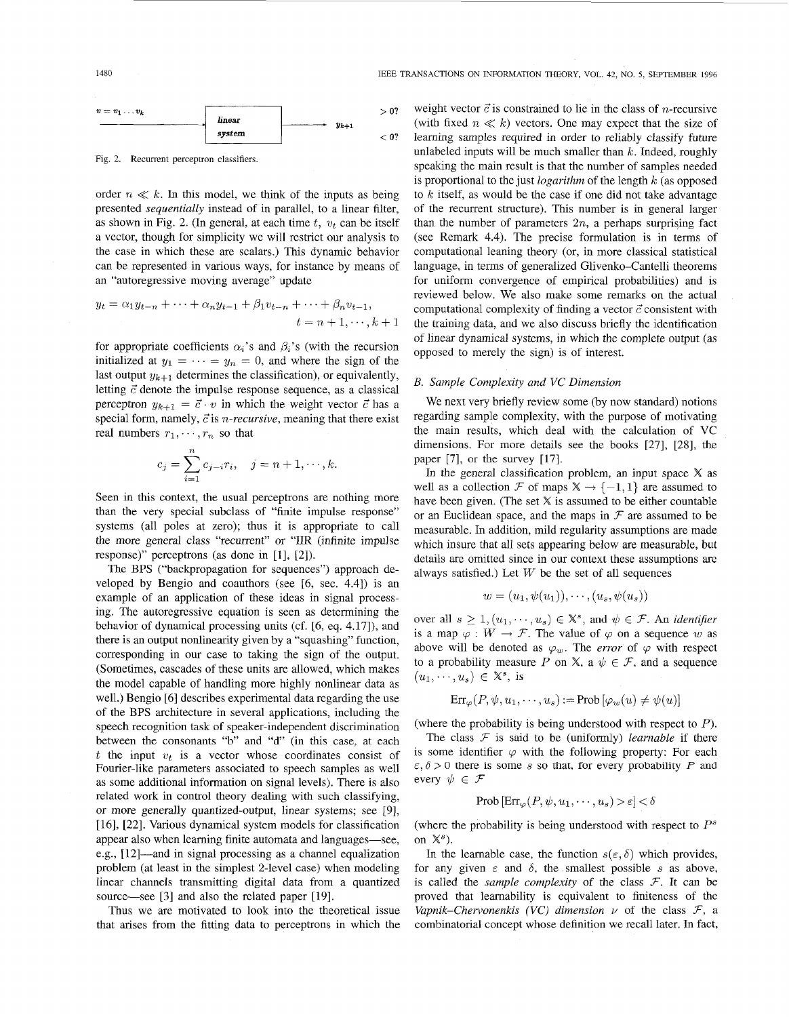1480 IEEE TRANSACTIONS ON INFORMATION THEORY, VOL. 42, NO. *5,* SEPTEMBER 1996



Fig. 2. Recurrent perceptron classifiers.

order  $n \ll k$ . In this model, we think of the inputs as being presented *sequentially* instead of in parallel, to a linear filter, as shown in Fig. 2. (In general, at each time  $t$ ,  $v_t$  can be itself a vector, though for simplicity we will restrict our analysis to the case in which these are scalars.) This dynamic behavior can be represented in various ways, for instance by means of an "autoregressive moving average" update

$$
y_t = \alpha_1 y_{t-n} + \dots + \alpha_n y_{t-1} + \beta_1 v_{t-n} + \dots + \beta_n v_{t-1}, \n t = n + 1, \dots, k + 1
$$

for appropriate coefficients  $\alpha_i$ 's and  $\beta_i$ 's (with the recursion opposed to merely the sign) is of interest. initialized at  $y_1 = \cdots = y_n = 0$ , and where the sign of the last output  $y_{k+1}$  determines the classification), or equivalently, letting  $\vec{c}$  denote the impulse response sequence, as a classical perceptron  $y_{k+1} = \vec{c} \cdot v$  in which the weight vector  $\vec{c}$  has a special form, namely,  $\vec{c}$  is *n-recursive*, meaning that there exist real numbers  $r_1, \dots, r_n$  so that

$$
c_j = \sum_{i=1}^n c_{j-i} r_i, \quad j = n+1, \dots, k.
$$

Seen in this context, the usual perceptrons are nothing more than the very special subclass of "finite impulse response" systems (all poles at zero); thus it is appropriate to call the more general class "recurrent" or "IIR (infinite impulse response)" perceptrons (as done in [l], [2]).

The BPS ("backpropagation for sequences") approach developed by Bengio and coauthors (see [6, sec. 4.41) is an example of an application of these ideas in signal processing. The autoregressive equation is seen as determining the behavior of dynamical processing units (cf. [6, eq. 4.17]), and there is an output nonlinearity given by a "squashing" function, corresponding in our case to taking the sign of the output. (Sometimes, cascades of these units are allowed, which makes the model capable of handling more highly nonlinear data as well.) Bengio [6] describes experimental data regarding the use of the BPS architecture in several applications, including the speech recognition task of speaker-independent discrimination between the consonants "b" and "d" (in this case, at each t the input  $v_t$  is a vector whose coordinates consist of Fourier-like parameters associated to speech samples as well as some additional information on signal levels). There is also related work in control theory dealing with such classifying, or more generally quantized-output, linear systems; see [9], [ 161, [22]. Various dynamical system models for classification appear also when learning finite automata and languages—see, e.g., [12]—and in signal processing as a channel equalization problem (at least in the simplest 2-level case) when modeling linear channels transmitting digital data from a quantized source—see [3] and also the related paper [19].

Thus we are motivated to look into the theoretical issue that arises from the fitting data to perceptrons in which the

weight vector  $\vec{c}$  is constrained to lie in the class of *n*-recursive (with fixed  $n \ll k$ ) vectors. One may expect that the size of learning samples required in order to reliably classify future unlabeled inputs will be much smaller than *k.* Indeed, roughly speaking the main result is that the number of samples needed is proportional to the just *logarithm* of the length *k* (as opposed to *k* itself, as would be the case if one did not take advantage of the recurrent structure). This number is in general larger than the number of parameters  $2n$ , a perhaps surprising fact (see Remark 4.4). The precise formulation is in terms of computational leaning theory (or, in more classical statistical language, in terms of generalized Glivenko-Cantelli theorems for uniform convergence of empirical probabilities) and is reviewed below. We also make some remarks on the actual computational complexity of finding a vector  $\vec{c}$  consistent with lhe training data, **and** WG also discuss briefly the identification of linear dynamical systems, in which the complete output (as

## *B. Sample Complexity and VC Dimension*

We next very briefly review some (by now standard) notions regarding sample complexity, with the purpose of motivating the main results, which deal with the calculation of VC dimensions. For more details see the books [27], [28], the paper [7], or the survey [17].

In the general classification problem, an input space  $X$  as well as a collection  $\mathcal F$  of maps  $X \to \{-1, 1\}$  are assumed to have been given. (The set  $X$  is assumed to be either countable or an Euclidean space, and the maps in  $\mathcal F$  are assumed to be measurable. In addition, mild regularity assumptions are made which insure that all sets appearing below are measurable, but details are omitted since in our context these assumptions are always satisfied.) Let *W* be the set of all sequences

$$
w=(u_1,\psi(u_1)),\cdots,(u_s,\psi(u_s))
$$

over all  $s \geq 1$ ,  $(u_1, \dots, u_s) \in \mathbb{X}^s$ , and  $\psi \in \mathcal{F}$ . An *identifier* is a map  $\varphi : W \to \mathcal{F}$ . The value of  $\varphi$  on a sequence *w* as above will be denoted as  $\varphi_w$ . The *error* of  $\varphi$  with respect to a probability measure P on X, a  $\psi \in \mathcal{F}$ , and a sequence  $(u_1,\dots,u_s) \in \mathbb{X}^s$ , is

$$
Err_{\varphi}(P, \psi, u_1, \dots, u_s) := Prob[\varphi_w(u) \neq \psi(u)]
$$

(where the probability is being understood with respect to *P).* 

The class  $F$  is said to be (uniformly) *learnable* if there is some identifier  $\varphi$  with the following property: For each  $\epsilon, \delta > 0$  there is some s so that, for every probability *P* and every  $\psi \in \mathcal{F}$ 

$$
\hbox{Prob}\left[\hbox{Err}_{\varphi}(P,\psi,u_1,\cdots,u_s) > \varepsilon\right] < \delta
$$

(where the probability is being understood with respect to *P"*  on  $\mathbb{X}^s$ ).

In the learnable case, the function  $s(\varepsilon, \delta)$  which provides, for any given  $\varepsilon$  and  $\delta$ , the smallest possible s as above, is called the *sample complexity* of the class  $\mathcal{F}$ . It can be proved that leamability is equivalent to finiteness of the *Vapnik–Chervonenkis (VC) dimension*  $\nu$  of the class  $\mathcal{F}$ , a combinatorial concept whose definition we recall later. In fact,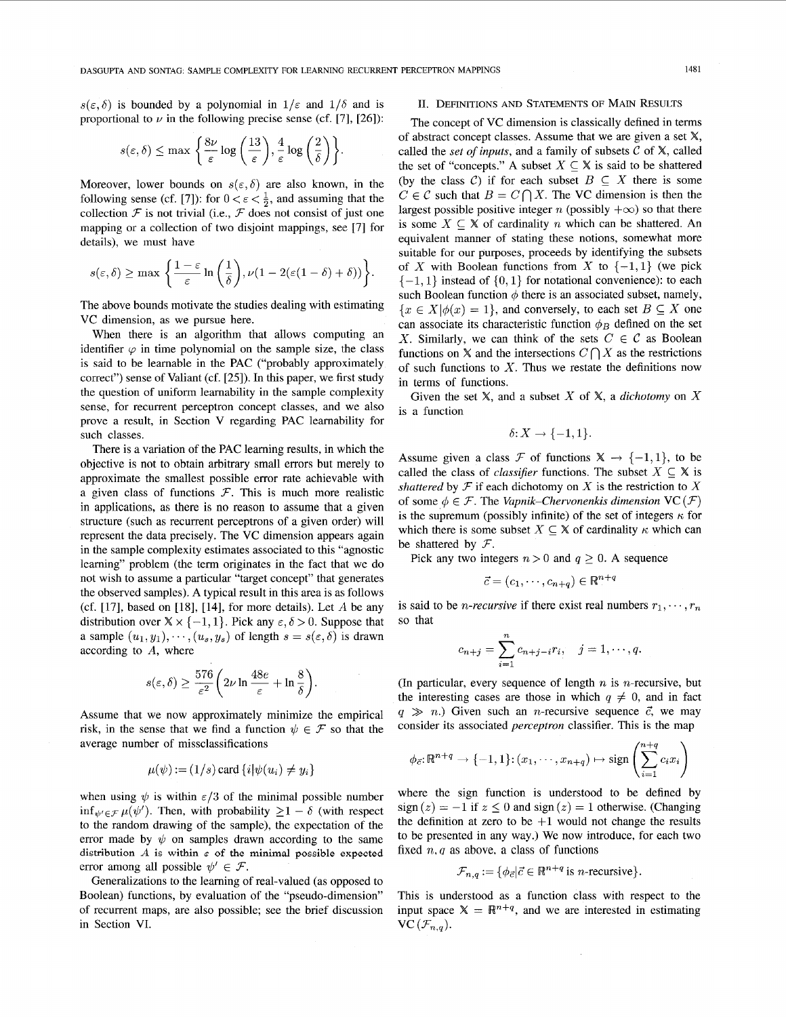$s(\varepsilon,\delta)$  is bounded by a polynomial in  $1/\varepsilon$  and  $1/\delta$  and is proportional to  $\nu$  in the following precise sense (cf. [7], [26]):

$$
s(\varepsilon, \delta) \le \max \left\{ \frac{8\nu}{\varepsilon} \log \left( \frac{13}{\varepsilon} \right), \frac{4}{\varepsilon} \log \left( \frac{2}{\delta} \right) \right\}
$$

Moreover, lower bounds on  $s(\varepsilon,\delta)$  are also known, in the following sense (cf. [7]): for  $0 < \varepsilon < \frac{1}{2}$ , and assuming that the collection  $\mathcal F$  is not trivial (i.e.,  $\mathcal F$  does not consist of just one mapping or a collection of two disjoint mappings, see [7] for details), we must have

$$
s(\varepsilon,\delta) \geq \max \left\{ \frac{1-\varepsilon}{\varepsilon} \ln \left( \frac{1}{\delta} \right), \nu(1-2(\varepsilon(1-\delta)+\delta)) \right\}.
$$

The above bounds motivate the studies dealing with estimating VC dimension, as we pursue here.

When there is an algorithm that allows computing an identifier  $\varphi$  in time polynomial on the sample size, the class is said to be learnable in the PAC ("probably approximately correct") sense of Valiant (cf. [25]). In this paper, we first study the question of uniform learnability in the sample complexity sense, for recurrent perceptron concept classes, and we also prove a result, in Section V regarding PAC learnability for such classes.

There is a variation of the PAC learning results, in which the objective is not to obtain arbitrary small errors but merely to approximate the smallest possible error rate achievable with a given class of functions  $\mathcal{F}$ . This is much more realistic in applications, as there is no reason to assume that a given structure (such as recurrent perceptrons of a given order) will represent the data precisely. The VC dimension appears again in the sample complexity estimates associated to this "agnostic learning" problem (the term originates in the fact that we do not wish to assume a particular "target concept" that generates the observed samples). A typical result in this area is as follows (cf.  $[17]$ , based on  $[18]$ ,  $[14]$ , for more details). Let *A* be any distribution over  $\mathbb{X} \times \{-1, 1\}$ . Pick any  $\varepsilon, \delta > 0$ . Suppose that a sample  $(u_1, y_1), \dots, (u_s, y_s)$  of length  $s = s(\varepsilon, \delta)$  is drawn according to *A,* where

$$
s(\varepsilon,\delta) \ge \frac{576}{\varepsilon^2} \bigg(2\nu \ln \frac{48e}{\varepsilon} + \ln \frac{8}{\delta}\bigg).
$$

Assume that we now approximately minimize the empirical risk, in the sense that we find a function  $\psi \in \mathcal{F}$  so that the average number of missclassifications

$$
\mu(\psi) := (1/s) \text{ card } \{i | \psi(u_i) \neq y_i\}
$$

when using  $\psi$  is within  $\epsilon/3$  of the minimal possible number inf<sub> $\psi' \in \mathcal{F}$   $\mu(\psi')$ . Then, with probability  $\geq 1 - \delta$  (with respect</sub> to the random drawing of the sample), the expectation of the error made by  $\psi$  on samples drawn according to the same distribution  $A$  is within  $\epsilon$  of the minimal possible expected error among all possible  $\psi' \in \mathcal{F}$ .

Generalizations to the learning of real-valued (as opposed to Boolean) functions, by evaluation of the "pseudo-dimension'' of recurrent maps, are also possible; see the brief discussion in Section VI.

## **11.** DEFINITIONS AND STATEMENTS OF MAIN RESULTS

The concept of VC dimension is classically defined in terms of abstract concept classes. Assume that we are given a set X, called the *set of inputs*, and a family of subsets  $C$  of  $X$ , called the set of "concepts." A subset  $X \subseteq X$  is said to be shattered (by the class C) if for each subset  $B \subseteq X$  there is some  $C \in \mathcal{C}$  such that  $B = C \cap X$ . The VC dimension is then the largest possible positive integer *n* (possibly  $+\infty$ ) so that there is some  $X \subseteq \mathbb{X}$  of cardinality *n* which can be shattered. An equivalent manner of stating these notions, somewhat more suitable for our purposes, proceeds by identifying the subsets of *X* with Boolean functions from *X* to  $\{-1,1\}$  (we pick  $\{-1, 1\}$  instead of  $\{0, 1\}$  for notational convenience): to each such Boolean function  $\phi$  there is an associated subset, namely,  ${x \in X | \phi(x) = 1}$ , and conversely, to each set  $B \subseteq X$  one can associate its characteristic function  $\phi_B$  defined on the set *X*. Similarly, we can think of the sets  $C \in \mathcal{C}$  as Boolean functions on  $X$  and the intersections  $C \bigcap X$  as the restrictions of such functions to *X.* Thus we restate the definitions now in terms of functions.

Given the set X, and a subset *X* of X, a *dichotomy* on *X*  is a function

$$
\delta\hbox{:}\ X\to\{-1,1\}.
$$

Assume given a class F of functions  $X \rightarrow \{-1, 1\}$ , to be called the class of *classifier* functions. The subset  $X \subseteq X$  is *shattered* by  $\mathcal F$  if each dichotomy on  $X$  is the restriction to  $X$ of some  $\phi \in \mathcal{F}$ . The *Vapnik–Chervonenkis dimension*  $VC(\mathcal{F})$ is the supremum (possibly infinite) of the set of integers  $\kappa$  for which there is some subset  $X \subseteq \mathbb{X}$  of cardinality  $\kappa$  which can be shattered by  $F$ .

Pick any two integers  $n > 0$  and  $q \ge 0$ . A sequence

$$
\vec{c} = (c_1, \cdots, c_{n+q}) \in \mathbb{R}^{n+q}
$$

is said to be *n*-recursive if there exist real numbers  $r_1, \dots, r_n$ so that

$$
c_{n+j} = \sum_{i=1}^{n} c_{n+j-i} r_i, \quad j = 1, \cdots, q.
$$

(In particular, every sequence of length  $n$  is *n*-recursive, but the interesting cases are those in which  $q \neq 0$ , and in fact  $q \gg n$ .) Given such an *n*-recursive sequence  $\vec{c}$ , we may consider its associated *perceptron* classifier. This is the map

$$
\phi_{\vec{c}}: \mathbb{R}^{n+q} \to \{-1,1\}:(x_1,\cdots,x_{n+q}) \mapsto \text{sign}\left(\sum_{i=1}^{n+q} c_i x_i\right)
$$

where the sign function is understood to be defined by  $sign(z) = -1$  if  $z \le 0$  and  $sign(z) = 1$  otherwise. (Changing the definition at zero to be  $+1$  would not change the results to be presented in any way.) We now introduce, for each two fixed  $n, q$  as above, a class of functions

$$
\mathcal{F}_{n,q} := \{ \phi_{\vec{c}} | \vec{c} \in \mathbb{R}^{n+q} \text{ is } n\text{-recursive} \}.
$$

This is understood as a function class with respect to the input space  $X = \mathbb{R}^{n+q}$ , and we are interested in estimating  $VC(\mathcal{F}_{n,q}).$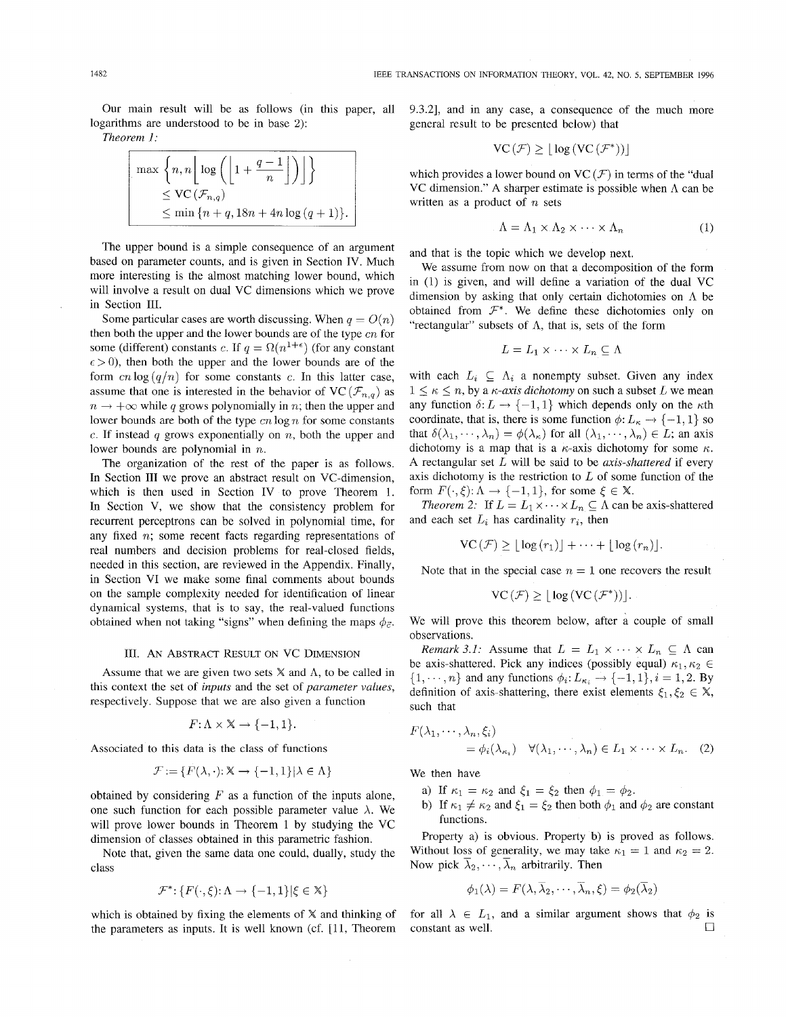Our main result will be as follows (in this paper, all logarithms are understood to be in base 2):

*Theorem I:* 

$$
\begin{array}{|l|l|}\n\hline\n\max \left\{n, n \left\lfloor\log \left(\left\lfloor1+\frac{q-1}{n}\right\rfloor\right)\right\rfloor\right\} \\
\leq \text{VC}\left(\mathcal{F}_{n,q}\right) \\
\leq \min \left\{n+q, 18n+4n \log (q+1)\right\}.\n\end{array}
$$

The upper bound is a simple consequence of an argument based on parameter counts, and is given in Section IV. Much more interesting is the almost matching lower bound, which will involve a result on dual VC dimensions which we prove in Section III.

Some particular cases are worth discussing. When  $q = O(n)$ then both the upper and the lower bounds are of the type *cn* for some (different) constants *c*. If  $q = \Omega(n^{1+\epsilon})$  (for any constant  $\epsilon > 0$ ), then both the upper and the lower bounds are of the form  $cn \log (q/n)$  for some constants c. In this latter case, assume that one is interested in the behavior of VC ( $\mathcal{F}_{n,q}$ ) as  $n \rightarrow +\infty$  while *q* grows polynomially in *n*; then the upper and lower bounds are both of the type *en* log *n* for some constants *e.* If instead *q* grows exponentially on *n,* both the upper and lower bounds are polynomial in *n.* 

The organization of the rest of the paper is as follows. In Section III we prove an abstract result on VC-dimension, which is then used in Section IV to prove Theorem 1. In Section V, we show that the consistency problem for recurrent perceptrons can be solved in polynomial time, for any fixed *n;* some recent facts regarding representations of real numbers and decision problems for real-closed fields, needed in this section, are reviewed in the Appendix. Finally, in Section VI we make some final comments about bounds on the sample complexity needed for identification of linear dynamical systems, that is to say, the real-valued functions obtained when not taking "signs" when defining the maps  $\phi_{\vec{c}}$ .

#### 111. **AN** ABSTRACT RESULT ON Vc DIMENSION

Assume that we are given two sets  $X$  and  $\Lambda$ , to be called in this context the set of *inputs* and the set of *parameter values,*  respectively. Suppose that we are also given a function

$$
F: \Lambda \times \mathbb{X} \to \{-1, 1\}.
$$

Associated to this data is the class of functions

$$
\mathcal{F} := \{ F(\lambda, \cdot) : \mathbb{X} \to \{-1, 1\} | \lambda \in \Lambda \}
$$

obtained by considering *F* as a function of the inputs alone, one such function for each possible parameter value  $\lambda$ . We will prove lower bounds in Theorem 1 by studying the VC dimension of classes obtained in this parametric fashion.

Note that, given the same data one could, dually, study the class

$$
\mathcal{F}^* \colon \{ F(\cdot,\xi)\colon \Lambda \to \{-1,1\} \vert \xi \in \mathbb{X} \}
$$

which is obtained by fixing the elements of X and thinking of the parameters as inputs. It is well known (cf. [11, Theorem 9.3.21, and in any case, a consequence of the much more general result to be presented below) that

$$
VC(\mathcal{F}) \geq \lfloor \log (VC(\mathcal{F}^*)) \rfloor
$$

which provides a lower bound on  $VC(F)$  in terms of the "dual" VC dimension." A sharper estimate is possible when  $\Lambda$  can be written as a product of *n* sets

$$
\Lambda = \Lambda_1 \times \Lambda_2 \times \cdots \times \Lambda_n \tag{1}
$$

and that is the topic which we develop next.

We assume from now on that a decomposition of the form in (1) is given, and will define a variation of the dual VC dimension by asking that only certain dichotomies on **A** be obtained from  $\mathcal{F}^*$ . We define these dichotomies only on "rectangular" subsets of  $\Lambda$ , that is, sets of the form

$$
L = L_1 \times \cdots \times L_n \subseteq \Lambda
$$

with each  $L_i \subseteq \Lambda_i$  a nonempty subset. Given any index  $1 \leq \kappa \leq n$ , by a  $\kappa$ -axis dichotomy on such a subset L we mean any function  $\delta: L \to \{-1, 1\}$  which depends only on the  $\kappa$ th coordinate, that is, there is some function  $\phi: L_{\kappa} \to \{-1, 1\}$  so that  $\delta(\lambda_1,\dots,\lambda_n) = \phi(\lambda_\kappa)$  for all  $(\lambda_1,\dots,\lambda_n) \in L$ ; an axis dichotomy is a map that is a  $\kappa$ -axis dichotomy for some  $\kappa$ . A rectangular set *L* will be said to be *axis-shattered* if every axis dichotomy is the restriction to *L* of some function of the form  $F(\cdot, \xi): \Lambda \to \{-1, 1\}$ , for some  $\xi \in \mathbb{X}$ .

*Theorem 2:* If  $L = L_1 \times \cdots \times L_n \subseteq \Lambda$  can be axis-shattered and each set  $L_i$  has cardinality  $r_i$ , then

$$
VC(\mathcal{F}) \geq \lfloor \log(r_1) \rfloor + \cdots + \lfloor \log(r_n) \rfloor.
$$

Note that in the special case  $n = 1$  one recovers the result

$$
VC(\mathcal{F}) \geq |\log(VC(\mathcal{F}^*))|.
$$

We will prove this theorem below, after a couple of small observations.

*Remark 3.1:* Assume that  $L = L_1 \times \cdots \times L_n \subseteq \Lambda$  can be axis-shattered. Pick any indices (possibly equal)  $\kappa_1,\kappa_2 \in$  $\{1,\dots,n\}$  and any functions  $\phi_i: L_{\kappa_i} \to \{-1,1\}, i = 1,2$ . By definition of axis-shattering, there exist elements  $\xi_1, \xi_2 \in X$ , such that

$$
F(\lambda_1, \dots, \lambda_n, \xi_i)
$$
  
=  $\phi_i(\lambda_{\kappa_i}) \quad \forall (\lambda_1, \dots, \lambda_n) \in L_1 \times \dots \times L_n.$  (2)

We then have

- a) If  $\kappa_1 = \kappa_2$  and  $\xi_1 = \xi_2$  then  $\phi_1 = \phi_2$ .
- b) If  $\kappa_1 \neq \kappa_2$  and  $\xi_1 = \xi_2$  then both  $\phi_1$  and  $\phi_2$  are constant functions.

Property a) is obvious. Property b) is proved as follows. Without loss of generality, we may take  $\kappa_1 = 1$  and  $\kappa_2 = 2$ . Now pick  $\overline{\lambda}_2, \cdots, \overline{\lambda}_n$  arbitrarily. Then

$$
\phi_1(\lambda)=F(\lambda,\overline{\lambda}_2,\cdots,\overline{\lambda}_n,\xi)=\phi_2(\overline{\lambda}_2)
$$

for all  $\lambda \in L_1$ , and a similar argument shows that  $\phi_2$  is constant as well.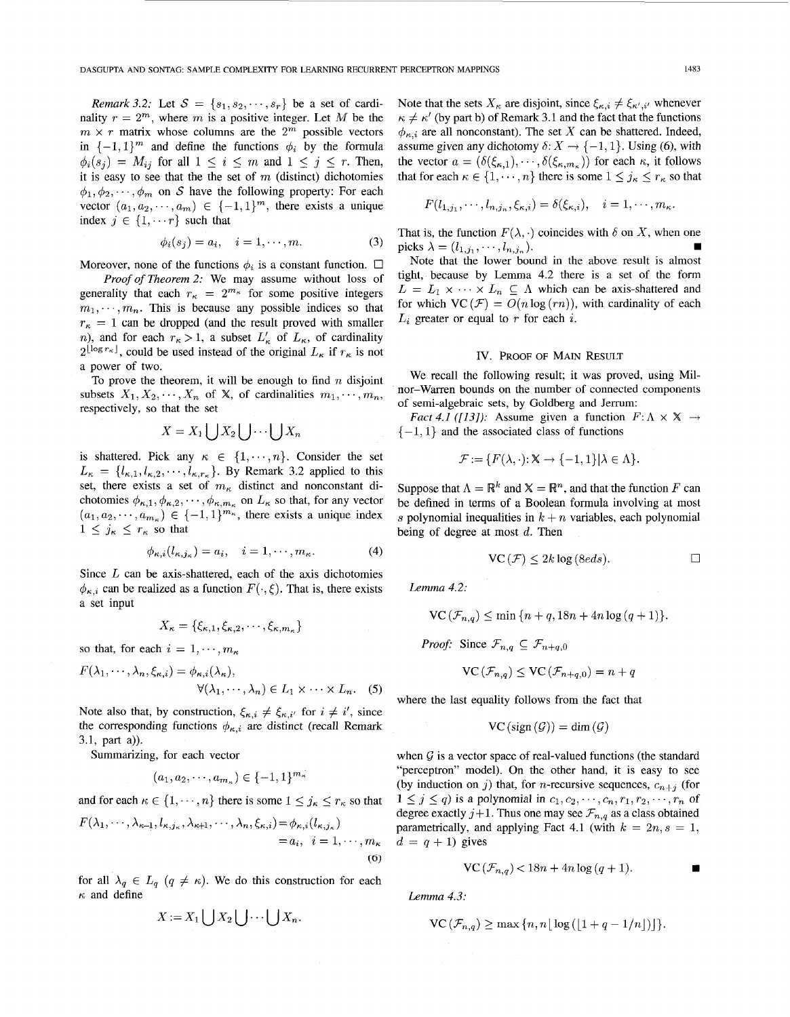*Remark 3.2:* Let  $S = \{s_1, s_2, \dots, s_r\}$  be a set of cardinality  $r = 2^m$ , where *m* is a positive integer. Let *M* be the  $m \times r$  matrix whose columns are the  $2^m$  possible vectors in  $\{-1,1\}^m$  and define the functions  $\phi_i$  by the formula  $\phi_i(s_j) = M_{ij}$  for all  $1 \leq i \leq m$  and  $1 \leq j \leq r$ . Then, it is easy to see that the the set of  $m$  (distinct) dichotomies  $\phi_1, \phi_2, \dots, \phi_m$  on S have the following property: For each vector  $(a_1, a_2, \dots, a_m) \in \{-1, 1\}^m$ , there exists a unique index  $j \in \{1, \dots r\}$  such that

$$
\phi_i(s_j) = a_i, \quad i = 1, \cdots, m. \tag{3}
$$

Moreover, none of the functions  $\phi_i$  is a constant function.  $\Box$ 

*Proof of Theorem* 2: We may assume without loss of generality that each  $r_{\kappa} = 2^{m_{\kappa}}$  for some positive integers  $m_1, \dots, m_n$ . This is because any possible indices so that  $r_{\kappa} = 1$  can be dropped (and the result proved with smaller *n*), and for each  $r_{\kappa} > 1$ , a subset  $L'_{\kappa}$  of  $L_{\kappa}$ , of cardinality  $2^{\lfloor \log r_{\kappa} \rfloor}$ , could be used instead of the original  $L_{\kappa}$  if  $r_{\kappa}$  is not a power of two.

To prove the theorem, it will be enough to find  $n$  disjoint subsets  $X_1, X_2, \dots, X_n$  of X, of cardinalities  $m_1, \dots, m_n$ , respectively, so that the set

$$
X = X_1 \bigcup X_2 \bigcup \cdots \bigcup X_n
$$

is shattered. Pick any  $\kappa \in \{1, \dots, n\}$ . Consider the set  $L_{\kappa} = \{l_{\kappa,1}, l_{\kappa,2}, \cdots, l_{\kappa,r_{\kappa}}\}.$  By Remark 3.2 applied to this set, there exists a set of *m,* distinct and nonconstant dichotomies  $\phi_{\kappa,1}, \phi_{\kappa,2}, \cdots, \phi_{\kappa,m_\kappa}$  on  $L_\kappa$  so that, for any vector  $(a_1, a_2, \dots, a_{m_\kappa}) \in \{-1,1\}^{m_\kappa}$ , there exists a unique index  $1 \leq j_{\kappa} \leq r_{\kappa}$  so that

$$
\phi_{\kappa,i}(l_{\kappa,j_{\kappa}})=a_i, \quad i=1,\cdots,m_{\kappa}.
$$
 (4)

Since *L* can be axis-shattered, each of the axis dichotomies  $\phi_{\kappa,i}$  can be realized as a function  $F(\cdot,\xi)$ . That is, there exists a set input

$$
X_{\kappa} = \{\xi_{\kappa,1}, \xi_{\kappa,2}, \cdots, \xi_{\kappa,m_{\kappa}}\}
$$

so that, for each  $i = 1, \dots, m_{\kappa}$ 

$$
F(\lambda_1, \dots, \lambda_n, \xi_{\kappa,i}) = \phi_{\kappa,i}(\lambda_\kappa),
$$
  

$$
\forall (\lambda_1, \dots, \lambda_n) \in L_1 \times \dots \times L_n.
$$
 (5)

Note also that, by construction,  $\xi_{\kappa,i} \neq \xi_{\kappa,i'}$  for  $i \neq i'$ , since the corresponding functions  $\phi_{\kappa,i}$  are distinct (recall Remark 3.1, part a)).

Summarizing, for each vector

$$
(a_1,a_2,\cdots,a_{m_\kappa})\in\{-1,1\}^{m_\kappa}
$$

and for each  $\kappa \in \{1, \dots, n\}$  there is some  $1 \leq j_{\kappa} \leq r_{\kappa}$  so that

$$
F(\lambda_1, \cdots, \lambda_{\kappa-1}, l_{\kappa,j_\kappa}, \lambda_{\kappa+1}, \cdots, \lambda_n, \xi_{\kappa,i}) = \phi_{\kappa,i}(l_{\kappa,j_\kappa})
$$
  
=  $a_i, i = 1, \cdots, m_\kappa$   
(6)

for all  $\lambda_q \in L_q$   $(q \neq \kappa)$ . We do this construction for each  $\kappa$  and define

$$
X := X_1 \bigcup X_2 \bigcup \cdots \bigcup X_n.
$$

Note that the sets  $X_{\kappa}$  are disjoint, since  $\xi_{\kappa,i} \neq \xi_{\kappa',i'}$  whenever  $\kappa \neq \kappa'$  (by part b) of Remark 3.1 and the fact that the functions  $\phi_{\kappa,i}$  are all nonconstant). The set X can be shattered. Indeed, assume given any dichotomy  $\delta: X \to \{-1, 1\}$ . Using (6), with the vector  $a = (\delta(\xi_{\kappa,1}), \cdots, \delta(\xi_{\kappa,m_\kappa}))$  for each  $\kappa$ , it follows that for each  $\kappa \in \{1, \dots, n\}$  there is some  $1 \leq j_{\kappa} \leq r_{\kappa}$  so that

$$
F(l_{1,j_1},\cdots,l_{n,j_n},\xi_{\kappa,i})=\delta(\xi_{\kappa,i}),\quad i=1,\cdots,m_\kappa.
$$

That is, the function  $F(\lambda, \cdot)$  coincides with  $\delta$  on X, when one **W**  picks  $\lambda = (l_{1, j_1}, \dots, l_{n, j_n}).$ 

Note that the lower bound in the above result is almost tight, because by Lemma 4.2 there is a set of the form  $L = L_1 \times \cdots \times L_n \subseteq \Lambda$  which can be axis-shattered and for which  $VC(\mathcal{F}) = O(n \log (rn))$ , with cardinality of each  $L_i$  greater or equal to  $r$  for each  $i$ .

### Iv. PROOF OF MAIN RESULT

We recall the following result; it was proved, using Milnor-Warren bounds on the number of connected components of semi-algebraic sets, by Goldberg and Jerrum:

*Fact 4.1 ([13]):* Assume given a function  $F: \Lambda \times \mathbb{X} \rightarrow$  $\{-1, 1\}$  and the associated class of functions

$$
\mathcal{F} := \{ F(\lambda, \cdot) : \mathbb{X} \to \{-1, 1\} | \lambda \in \Lambda \}.
$$

Suppose that  $\Lambda = \mathbb{R}^k$  and  $\mathbb{X} = \mathbb{R}^n$ , and that the function *F* can be defined in terms of a Boolean formula involving at most s polynomial inequalities in  $k + n$  variables, each polynomial being of degree at most *d.* Then

$$
\operatorname{VC}\left(\mathcal{F}\right)\leq 2k\log\left(8eds\right).\qquad \qquad \Box
$$

*Lemma 4.2:* 

$$
\mathsf{VC}(\mathcal{F}) \le 2\kappa \log(\text{seas}).
$$
\n
$$
\text{MSE}(\mathcal{F}_{n,q}) \le \min\{n+q, 18n+4n\log(q+1)\}.
$$

*Proof:* Since  $\mathcal{F}_{n,q} \subseteq \mathcal{F}_{n+q,0}$ 

$$
VC(\mathcal{F}_{n,q}) \le VC(\mathcal{F}_{n+q,0}) = n+q
$$

where the last equality follows from the fact that

$$
VC\left(\text{sign}\left(\mathcal{G}\right)\right) = \dim\left(\mathcal{G}\right)
$$

when  $\mathcal G$  is a vector space of real-valued functions (the standard "perceptron" model). On the other hand, it is easy to see (by induction on j) that, for *n*-recursive sequences,  $c_{n+j}$  (for **1**  $\leq$  *j*  $\leq$  *q*) is a polynomial in  $c_1, c_2, \dots, c_n, r_1, r_2, \dots, r_n$  of degree exactly  $j+1$ . Thus one may see  $\mathcal{F}_{n,q}$  as a class obtained parametrically, and applying Fact 4.1 (with  $k = 2n$ ,  $s = 1$ ,  $d = q + 1$ ) gives

$$
\text{VC}\left(\mathcal{F}_{n,q}\right) < 18n + 4n\log\left(q+1\right). \tag{\blacksquare}
$$

*Lemma 4.3:* 

$$
\mathrm{VC}\left(\mathcal{F}_{n,q}\right) \ge \max\left\{n, n\lfloor \log\left(\lfloor 1+q-1/n\rfloor\right)\rfloor\right\}.
$$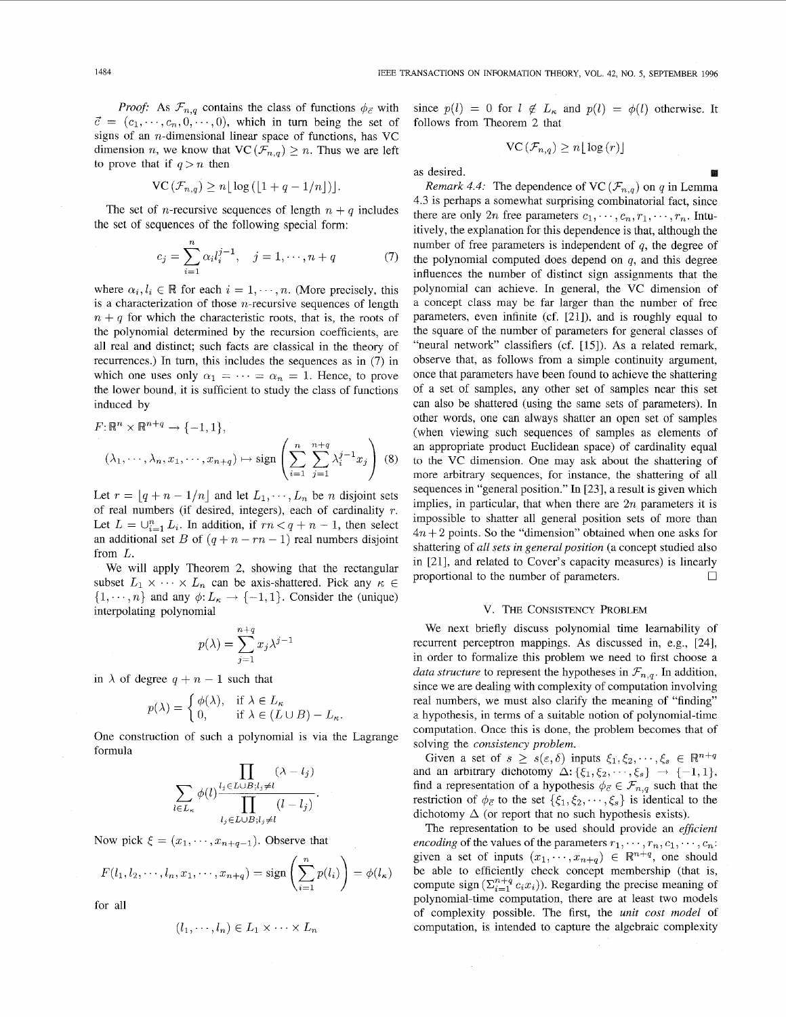$$
\operatorname{VC}(\mathcal{F}_{n,q}) \ge n \lfloor \log \left( \lfloor 1 + q - 1/n \rfloor \right) \rfloor.
$$

The set of *n*-recursive sequences of length  $n + q$  includes the set of sequences of the following special form:

$$
c_j = \sum_{i=1}^n \alpha_i l_i^{j-1}, \quad j = 1, \cdots, n+q \tag{7}
$$

where  $\alpha_i, l_i \in \mathbb{R}$  for each  $i = 1, \dots, n$ . (More precisely, this is a characterization of those  $n$ -recursive sequences of length  $n + q$  for which the characteristic roots, that is, the roots of the polynomial determined by the recursion coefficients, are all real and distinct; such facts are classical in the theory of recurrences.) In turn, this includes the sequences as in (7) in which one uses only  $\alpha_1 = \cdots = \alpha_n = 1$ . Hence, to prove the lower bound, it is sufficient to study the class of functions induced by

$$
F: \mathbb{R}^n \times \mathbb{R}^{n+q} \to \{-1, 1\},
$$

$$
(\lambda_1, \dots, \lambda_n, x_1, \dots, x_{n+q}) \mapsto \text{sign}\left(\sum_{i=1}^n \sum_{j=1}^{n+q} \lambda_i^{j-1} x_j\right) (8)
$$

Let  $r = [q + n - 1/n]$  and let  $L_1, \dots, L_n$  be *n* disjoint sets of real numbers (if desired, integers), each of cardinality  $r$ . Let  $L = \bigcup_{i=1}^{n} L_i$ . In addition, if  $rn < q + n - 1$ , then select an additional set *B* of  $(q + n - rn - 1)$  real numbers disjoint from *L.* 

We will apply Theorem 2, showing that the rectangular subset  $L_1 \times \cdots \times L_n$  can be axis-shattered. Pick any  $\kappa \in$  $\{1, \dots, n\}$  and any  $\phi: L_{\kappa} \to \{-1, 1\}$ . Consider the (unique) interpolating polynomial

$$
p(\lambda) = \sum_{j=1}^{n+q} x_j \lambda^{j-1}
$$

in  $\lambda$  of degree  $q + n - 1$  such that

$$
p(\lambda) = \begin{cases} \phi(\lambda), & \text{if } \lambda \in L_{\kappa} \\ 0, & \text{if } \lambda \in (L \cup B) - L_{\kappa}. \end{cases}
$$

One construction of such a polynomial is via the Lagrange formula

$$
\sum_{l \in L_{\kappa}} \phi(l) \frac{\prod_{j \in L \cup B; l_j \neq l} (\lambda - l_j)}{\prod_{l_j \in L \cup B; l_j \neq l} (l - l_j)}.
$$

Now pick  $\xi = (x_1, \dots, x_{n+q-1})$ . Observe that

$$
F(l_1, l_2, \cdots, l_n, x_1, \cdots, x_{n+q}) = \text{sign}\left(\sum_{i=1}^n p(l_i)\right) = \phi(l_\kappa)
$$

for all

$$
(l_1,\dots, l_n)\in L_1\times\cdots\times L_n
$$

since  $p(l) = 0$  for  $l \notin L_{\kappa}$  and  $p(l) = \phi(l)$  otherwise. It follows from Theorem 2 that

$$
\operatorname{VC}\left(\mathcal{F}_{n,q}\right)\geq n\lfloor\log\left(r\right)\rfloor
$$

as desired.

*Remark 4.4:* The dependence of VC  $(\mathcal{F}_{n,q})$  on *q* in Lemma 4.3 is perhaps a somewhat surprising combinatorial fact, since there are only 2n free parameters  $c_1, \dots, c_n, r_1, \dots, r_n$ . Intuitively, the explanation for this dependence is that, although the number of free parameters is independent of *q,* the degree of the polynomial computed does depend on *q,* and this degree influences the number of distinct sign assignments that the polynomial can achieve. In general, the VC dimension of a concept class may be far larger than the number of free parameters, even infinite (cf. [211), and is roughly equal to the square of the number of parameters for general classes of "neural network" classifiers (cf. [15]). As a related remark, observe that, as follows from a simple continuity argument, once that parameters have been found to achieve the shattering of a set of samples, any other set of samples near this set can also be shattered (using the same sets of parameters). In other words, one can always shatter an open set of samples (when viewing such sequences of samples as elements of an appropriate product Euclidean space) of cardinality equal to the VC dimension. One may ask about the shattering of more arbitrary sequences, for instance, the shattering of all sequences in "general position." In [23], a result is given which implies, in particular, that when there are *2n* parameters it is impossible to shatter all general position sets of more than  $4n + 2$  points. So the "dimension" obtained when one asks for shattering of *all sets in general position* (a concept studied also in [21], and related to Cover's capacity measures) is linearly proportional to the number of parameters.  $\Box$ 

#### V. THE CONSISTENCY PROBLEM

We next briefly discuss polynomial time learnability of recurrent perceptron mappings. As discussed in, e.g., [24], in order to formalize this problem we need to first choose a *data structure* to represent the hypotheses in  $\mathcal{F}_{n,q}$ . In addition, since we are dealing with complexity of computation involving real numbers, we must also clarify the meaning of "finding" a hypothesis, in terms of a suitable notion of polynomial-time computation. Once this is done, the problem becomes that of solving the *consistency problem.* 

Given a set of  $s \geq s(\epsilon, \delta)$  inputs  $\xi_1, \xi_2, \dots, \xi_s \in \mathbb{R}^{n+q}$ and an arbitrary dichotomy  $\Delta$ :  $\{\xi_1, \xi_2, \dots, \xi_s\}$   $\rightarrow$   $\{-1, 1\}$ , find a representation of a hypothesis  $\phi_{\vec{c}} \in \mathcal{F}_{n,q}$  such that the restriction of  $\phi_{\vec{c}}$  to the set  $\{\xi_1, \xi_2, \dots, \xi_s\}$  is identical to the dichotomy  $\Delta$  (or report that no such hypothesis exists).

The representation to be used should provide an *efJicient encoding* of the values of the parameters  $r_1, \dots, r_n, c_1, \dots, c_n$ : given a set of inputs  $(x_1, \dots, x_{n+q}) \in \mathbb{R}^{n+q}$ , one should be able to efficiently check concept membership (that is, compute sign  $(\sum_{i=1}^{n+q} c_i x_i)$ ). Regarding the precise meaning of polynomial-time computation, there are at least two models of complexity possible. The first, the *unit cost model* of computation, is intended to capture the algebraic complexity

 $\mathcal{A}^{\prime}$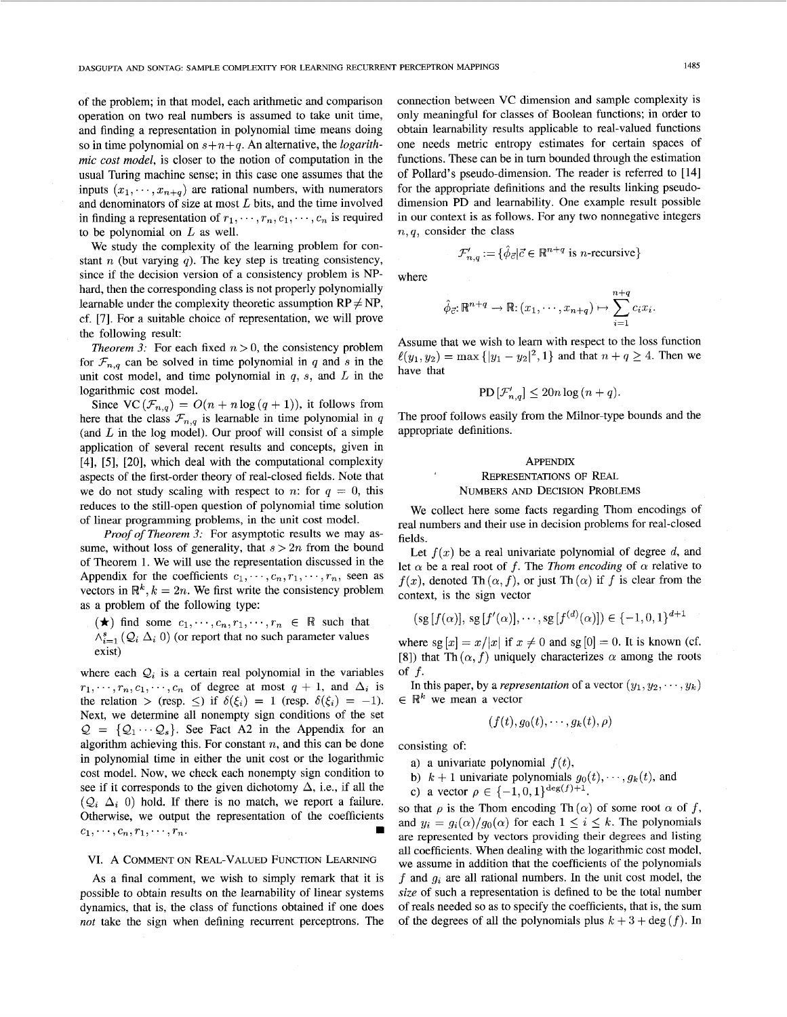of the problem; in that model, each arithmetic and comparison operation on two real numbers is assumed to take unit time, and finding a representation in polynomial time means doing so in time polynomial on *s+n+q.* An alternative, the *logarithmic cost model,* is closer to the notion of computation in the usual Turing machine sense; in this case one assumes that the inputs  $(x_1, \dots, x_{n+q})$  are rational numbers, with numerators and denominators of size at most *L* bits, and the time involved in finding a representation of  $r_1, \dots, r_n, c_1, \dots, c_n$  is required to be polynomial on *L* as well.

We study the complexity of the learning problem for constant *n* (but varying  $q$ ). The key step is treating consistency, since if the decision version of a consistency problem is NPhard, then the corresponding class is not properly polynomially learnable under the complexity theoretic assumption  $RP \neq NP$ , cf. [7]. For a suitable choice of representation, we will prove the following result:

*Theorem 3:* For each fixed  $n > 0$ , the consistency problem for  $\mathcal{F}_{n,q}$  can be solved in time polynomial in *q* and *s* in the unit cost model, and time polynomial in *q,* s, and *L* in the logarithmic cost model.

Since  $VC(\mathcal{F}_{n,q}) = O(n + n \log(q + 1))$ , it follows from here that the class  $\mathcal{F}_{n,q}$  is learnable in time polynomial in *q* (and  $L$  in the log model). Our proof will consist of a simple application of several recent results and concepts, given in [4], *[5],* [20], which deal with the computational complexity aspects of the first-order theory of real-closed fields. Note that we do not study scaling with respect to *n*: for  $q = 0$ , this reduces to the still-open question of polynomial time solution of linear programming problems, in the unit cost model.

*Proof of Theorem 3:* For asymptotic results we may assume, without loss of generality, that  $s > 2n$  from the bound of Theorem 1. We will use the representation discussed in the Appendix for the coefficients  $c_1, \dots, c_n, r_1, \dots, r_n$ , seen as vectors in  $\mathbb{R}^k$ ,  $k = 2n$ . We first write the consistency problem as a problem of the following type:

 $(\star)$  find some  $c_1, \dots, c_n, r_1, \dots, r_n \in \mathbb{R}$  such that  $\wedge_{i=1}^{s}$  ( $\mathcal{Q}_i$   $\Delta_i$  0) (or report that no such parameter values exist)

where each  $Q_i$  is a certain real polynomial in the variables  $r_1, \dots, r_n, c_1, \dots, c_n$  of degree at most  $q + 1$ , and  $\Delta_i$  is the relation > (resp.  $\leq$ ) if  $\delta(\xi_i) = 1$  (resp.  $\delta(\xi_i) = -1$ ). Next, we determine all nonempty sign conditions of the set  $Q = \{Q_1 \cdots Q_s\}$ . See Fact A2 in the Appendix for an algorithm achieving this. For constant *n,* and this can be done in polynomial time in either the unit cost or the logarithmic cost model. Now, we check each nonempty sign condition to see if it corresponds to the given dichotomy  $\Delta$ , i.e., if all the  $(Q_i \Delta_i 0)$  hold. If there is no match, we report a failure. Otherwise, we output the representation of the coefficients  $c_1, \dots, c_n, r_1, \dots, r_n.$ 

### VI. A COMMENT ON REAL-VALUED FUNCTION LEARNING

As a final comment, we wish to simply remark that it is possible to obtain results on the learnability of linear systems dynamics, that is, the class of functions obtained if one does *not* take the sign when defining recurrent perceptrons. The connection between VC dimension and sample complexity is only meaningful for classes of Boolean functions: in order to obtain learnability results applicable to real-valued functions one needs metric entropy estimates for certain spaces of functions. These can be in turn bounded through the estimation of Pollard's pseudo-dimension. The reader is referred to [14] for the appropriate definitions and the results linking pseudodimension PD and learnability. One example result possible in our context is as follows. For any two nonnegative integers *n,q,* consider the class

$$
\mathcal{F}_{n,q}' := \{ \hat{\phi}_{\vec{c}} | \vec{c} \in \mathbb{R}^{n+q} \text{ is } n\text{-recursive} \}
$$

where

$$
\hat{\phi}_{\vec{c}}: \mathbb{R}^{n+q} \to \mathbb{R}: (x_1, \cdots, x_{n+q}) \mapsto \sum_{i=1}^{n+q} c_i x_i
$$

Assume that we wish to learn with respect to the loss function  $\ell(y_1, y_2) = \max\{|y_1 - y_2|^2, 1\}$  and that  $n + q \ge 4$ . Then we have that

$$
PD\left[\mathcal{F}_{n,q}'\right] \leq 20n\log\left(n+q\right).
$$

The proof follows easily from the Milnor-type bounds and the appropriate definitions.

#### APPENDIX

## REPRESENTATIONS OF REAL NUMBERS AND DECISION PROBLEMS

We collect here some facts regarding Thom encodings of real numbers and their use in decision problems for real-closed fields.

Let  $f(x)$  be a real univariate polynomial of degree  $d$ , and let  $\alpha$  be a real root of *f*. The *Thom encoding* of  $\alpha$  relative to  $f(x)$ , denoted Th $(\alpha, f)$ , or just Th $(\alpha)$  if f is clear from the context, is the sign vector

$$
(sg[f(\alpha)], sg[f'(\alpha)], \cdots, sg[f^{(d)}(\alpha)]) \in \{-1, 0, 1\}^{d+1}
$$

where  $sg[x] = x/|x|$  if  $x \neq 0$  and  $sg[0] = 0$ . It is known (cf. [8]) that Th  $(\alpha, f)$  uniquely characterizes  $\alpha$  among the roots of *f.* 

In this paper, by a *representation* of a vector  $(y_1, y_2, \dots, y_k)$  $\in \mathbb{R}^k$  we mean a vector

$$
(f(t),g_0(t),\cdots,g_k(t),\rho)
$$

consisting of

- a) a univariate polynomial  $f(t)$ ,
- b)  $k + 1$  univariate polynomials  $g_0(t), \dots, g_k(t)$ , and
- c) a vector  $\rho \in \{-1, 0, 1\}^{\deg(f)+1}$ .

so that  $\rho$  is the Thom encoding Th $(\alpha)$  of some root  $\alpha$  of f, and  $y_i = g_i(\alpha)/g_0(\alpha)$  for each  $1 \leq i \leq k$ . The polynomials are represented by vectors providing their degrees and listing all coefficients. When dealing with the logarithmic cost model, we assume in addition that the coefficients of the polynomials *f* and *g;* are all rational numbers. In the unit cost model, the *size* of such a representation is defined to be the total number of reals needed so as to specify the coefficients, that is, the sum of the degrees of all the polynomials plus  $k + 3 + \deg(f)$ . In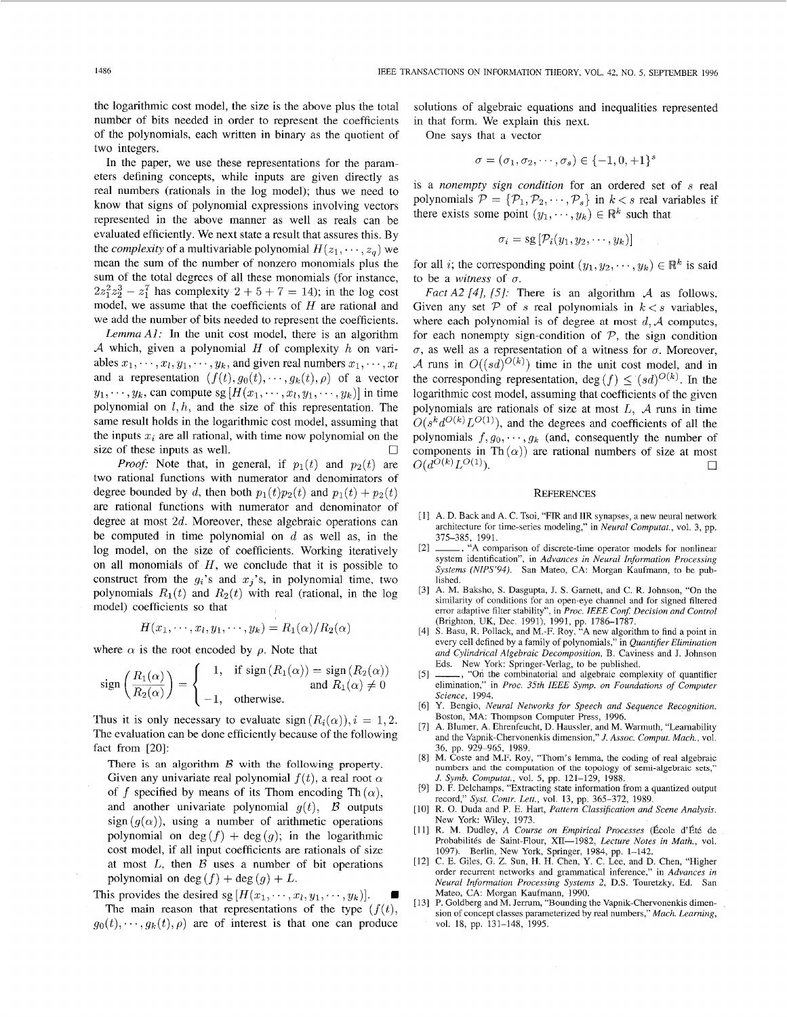the logarithmic cost model, the size is the above plus the total number of bits needed in order to represent the coefficients of the polynomials, each written in binary as the quotient of two integers.

In the paper, we use these representations for the parameters defining concepts, while inputs are given directly as real numbers (rationals in the log model); thus we need to know that signs of polynomial expressions involving vectors represented in the above manner as well as reals can be evaluated efficiently. We next state a result that assures this. By the *complexity* of a multivariable polynomial  $H(z_1, \dots, z_q)$  we mean the sum of the number of nonzero monomials plus the sum of the total degrees of all these monomials (for instance,  $2z_1^2z_2^3 - z_1^7$  has complexity  $2 + 5 + 7 = 14$ ; in the log cost model, we assume that the coefficients of *H* are rational and we add the number of bits needed to represent the coefficients.

*Lemma Al:* In the unit cost model, there is an algorithm *A* which, given a polynomial *H* of complexity *h* on variables  $x_1, \dots, x_l, y_1, \dots, y_k$ , and given real numbers  $x_1, \dots, x_l$ and a representation  $(f(t), g_0(t), \dots, g_k(t), \rho)$  of a vector  $y_1, \dots, y_k$ , can compute sg  $[H(x_1, \dots, x_l, y_1, \dots, y_k)]$  in time polynomial on  $l, h$ , and the size of this representation. The same result holds in the logarithmic cost model, assuming that the inputs  $x_i$  are all rational, with time now polynomial on the *0*  size of these inputs as well.

*Proof:* Note that, in general, if  $p_1(t)$  and  $p_2(t)$  are two rational functions with numerator and denominators of degree bounded by *d*, then both  $p_1(t)p_2(t)$  and  $p_1(t) + p_2(t)$ are rational functions with numerator and denominator of degree at most *2d.* Moreover, these algebraic operations can be computed in time polynomial on *d* as well as, in the log model, on the size of coefficients. Working iteratively on all monomials of *H,* we conclude that it is possible to construct from the  $g_i$ 's and  $x_j$ 's, in polynomial time, two polynomials  $R_1(t)$  and  $R_2(t)$  with real (rational, in the log model) coefficients so that

$$
H(x_1,\dots,x_l,y_1,\dots,y_k)=R_1(\alpha)/R_2(\alpha)
$$

where  $\alpha$  is the root encoded by  $\rho$ . Note that

$$
\operatorname{sign}\left(\frac{R_1(\alpha)}{R_2(\alpha)}\right) = \begin{cases} 1, & \text{if } \operatorname{sign}\left(R_1(\alpha)\right) = \operatorname{sign}\left(R_2(\alpha)\right) \\ -1, & \text{otherwise.} \end{cases}
$$

Thus it is only necessary to evaluate sign  $(R_i(\alpha))$ ,  $i = 1, 2$ . The evaluation can be done efficiently because of the following fact from [20]:

There is an algorithm *B* with the following **property.**  Given any univariate real polynomial  $f(t)$ , a real root  $\alpha$ of *f* specified by means of its Thom encoding Th $(\alpha)$ , and another univariate polynomial  $g(t)$ ,  $\beta$  outputs  $sign(g(\alpha))$ , using a number of arithmetic operations polynomial on  $deg(f) + deg(g)$ ; in the logarithmic cost model, if all input coefficients are rationals of size at most *L,* then *B* uses a number of bit operations polynomial on deg  $(f)$  + deg  $(g)$  + *L*.

This provides the desired sg  $[H(x_1, \dots, x_l, y_1, \dots, y_k)].$ The main reason that representations of the type  $(f(t))$ ,  $g_0(t), \dots, g_k(t), \rho$  are of interest is that one can produce solutions of algebraic equations and inequalities represented in that form. We explain this next.

One says that a vector

$$
\sigma=(\sigma_1,\sigma_2,\cdots,\sigma_s)\in\{-1,0,+1\}^s
$$

is a *nonempty sign condition* for an ordered set of *s* real polynomials  $\mathcal{P} = {\mathcal{P}_1, \mathcal{P}_2, \cdots, \mathcal{P}_s}$  in  $k < s$  real variables if there exists some point  $(y_1, \dots, y_k) \in \mathbb{R}^k$  such that

$$
\sigma_i = \text{sg}\left[\mathcal{P}_i(y_1, y_2, \cdots, y_k)\right]
$$

for all *i*; the corresponding point  $(y_1, y_2, \dots, y_k) \in \mathbb{R}^k$  is said to be a *witness* of  $\sigma$ .

*FactA2 141, [SI:* There is an algorithm *A* as follows. Given any set  $P$  of *s* real polynomials in  $k < s$  variables, where each polynomial is of degree at most  $d, A$  computes, for each nonempty sign-condition of  $P$ , the sign condition  $\sigma$ , as well as a representation of a witness for  $\sigma$ . Moreover, A runs in  $O((sd)^{O(k)})$  time in the unit cost model, and in the corresponding representation, deg  $(f) \leq (sd)^{O(k)}$ . In the logarithmic cost model, assuming that coefficients of the given polynomials are rationals of size at most *L, A* runs in time  $O(s^k d^{O(k)} L^{O(1)})$ , and the degrees and coefficients of all the polynomials  $f, g_0, \dots, g_k$  (and, consequently the number of components in Th $(\alpha)$  are rational numbers of size at most  $O(d^{O(k)}L^{O(1)})$ .

#### **REFERENCES**

- A. D. Back and **A.** C. Tsoi, "FIR and IIR synapses, a new neural network architecture for time-series modeling," in *Neural Computat.,* vol. 3, pp. 375-385, 1991. ~, **"A** comparison of discrete-time operator models for nonlinear
- $\lceil 2 \rceil$ system identification", in *Advances in Neural Information Processing Systems (NIPS'94).* San Mateo, CA: Morgan Kaufmann, to be published.
- A. M. Baksho, **S.** Dasgupta, J. **S.** Garnett, and C. R. Johnson, "On the similarity of conditions for an open-eye channel and for signed filtered error adaptive filter stability", in *Proc. IEEE Conf Decision and Control*
- (Brighton, UK, Dec. 1991), 1991, pp. 1786-1787. S. Basu, R. Pollack, and M.-F. Roy, "A new algorithm to find a point in every cell defined by a family of polynomials," in *Quantifier Elimination and Cylindrical Algebraic Decomposition,* B. Caviness and J. Johnson Eds. New York: Springer-Verlag, to be published. error adaptive filter stability", in *Proc. IEEE Conf. Decision and Control* (Brighton, UK, Dec. 1991), 1991, pp. 1786–1787.<br>S. Basu, R. Pollack, and M.-F. Roy, "A new algorithm to find a point in every cell defined by a f
- $<sub>151</sub>$ </sub> elimination," in *Proc. 35th IEEE Symp. on Foundations of Computer Science,* 1994.
- Y. Bengio, *Neural Networks for Speech and Sequence Recognition.*  Boston, MA: Thompson Computer Press, 1996.
- A. Blumer, A. Ehrenfeucht, D. Haussler, and M. Warmuth, "Learnability and the Vapnik-Chervonenkis dimension," *J. Assoc. Comput. Mach.*, vol. 36, pp. 929-965, 1989.
- **M.** Coste and M.F. Roy, "Thom's lemma, the coding of real algebraic  $[8]$ *J. Symb. Computat.,* vol. *5,* pp. 121-129, 1988.
- [9] D. F. Delchamps, "Extracting state information from a quantized output record," *Syst. Contr. Lett.,* vol. 13, pp. 365-372, 1989.
- R. 0. Duda and P. E. Hart, *Pattern Classifcation and Scene Analysis.*  New York: Wiley, 1973.
- [11] R. M. Dudley, *A Course on Empirical Processes* (École d'Été de Probabilités de Saint-Flour, XII-1982, Lecture Notes in Math., vol. 1097). Berlin, New York, Springer, 1984, pp. 1–142.<br>C. E. Giles, G. Z. Sun, H. H. Chen, Y. C. Lee, and D. Chen, "Higher
- order recurrent networks and grammatical inference," in *Advances in Neural Information Processing Systems 2,* D.S. Touretzky, Ed. San Mateo, **CA:** Morgan Kaufmann, 1990.
- [13] P. Goldberg and **M.** Jerrum, "Bounding the Vapnik-Chervonenkis dimension of concept classes parameterized by real numbers," *Mach. Learning,*  vol. 18, pp. 131-148, 1995.